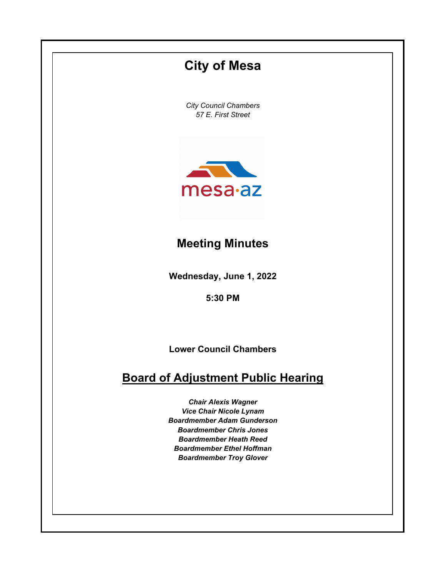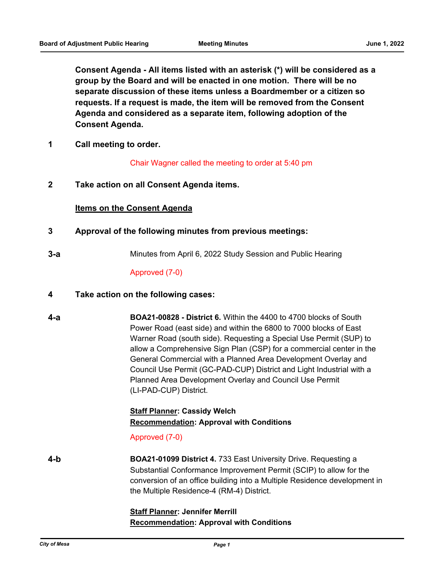**Consent Agenda - All items listed with an asterisk (\*) will be considered as a group by the Board and will be enacted in one motion. There will be no separate discussion of these items unless a Boardmember or a citizen so requests. If a request is made, the item will be removed from the Consent Agenda and considered as a separate item, following adoption of the Consent Agenda.**

**1 Call meeting to order.**

Chair Wagner called the meeting to order at 5:40 pm

**2 Take action on all Consent Agenda items.**

#### **Items on the Consent Agenda**

- **3 Approval of the following minutes from previous meetings:**
- **3-a** Minutes from April 6, 2022 Study Session and Public Hearing

Approved (7-0)

#### **4 Take action on the following cases:**

**4-a BOA21-00828 - District 6.** Within the 4400 to 4700 blocks of South Power Road (east side) and within the 6800 to 7000 blocks of East Warner Road (south side). Requesting a Special Use Permit (SUP) to allow a Comprehensive Sign Plan (CSP) for a commercial center in the General Commercial with a Planned Area Development Overlay and Council Use Permit (GC-PAD-CUP) District and Light Industrial with a Planned Area Development Overlay and Council Use Permit (LI-PAD-CUP) District.

## **Staff Planner: Cassidy Welch Recommendation: Approval with Conditions**

#### Approved (7-0)

**4-b BOA21-01099 District 4.** 733 East University Drive. Requesting a Substantial Conformance Improvement Permit (SCIP) to allow for the conversion of an office building into a Multiple Residence development in the Multiple Residence-4 (RM-4) District.

## **Staff Planner: Jennifer Merrill Recommendation: Approval with Conditions**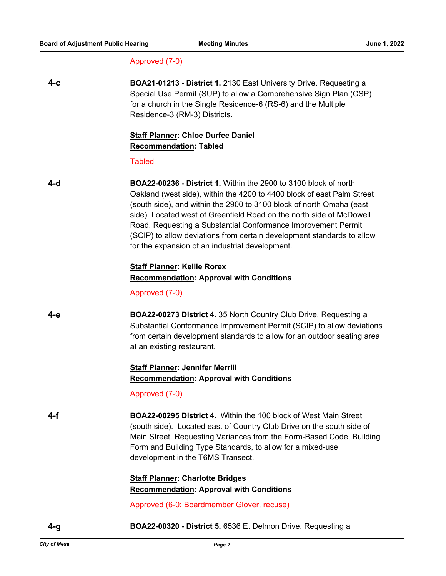# Approved (7-0)

| $4-c$ | <b>BOA21-01213 - District 1.</b> 2130 East University Drive. Requesting a<br>Special Use Permit (SUP) to allow a Comprehensive Sign Plan (CSP)<br>for a church in the Single Residence-6 (RS-6) and the Multiple<br>Residence-3 (RM-3) Districts.                                                                                                                                                                                                                                        |
|-------|------------------------------------------------------------------------------------------------------------------------------------------------------------------------------------------------------------------------------------------------------------------------------------------------------------------------------------------------------------------------------------------------------------------------------------------------------------------------------------------|
|       | <b>Staff Planner: Chloe Durfee Daniel</b><br><b>Recommendation: Tabled</b>                                                                                                                                                                                                                                                                                                                                                                                                               |
|       | <b>Tabled</b>                                                                                                                                                                                                                                                                                                                                                                                                                                                                            |
| 4-d   | BOA22-00236 - District 1. Within the 2900 to 3100 block of north<br>Oakland (west side), within the 4200 to 4400 block of east Palm Street<br>(south side), and within the 2900 to 3100 block of north Omaha (east<br>side). Located west of Greenfield Road on the north side of McDowell<br>Road. Requesting a Substantial Conformance Improvement Permit<br>(SCIP) to allow deviations from certain development standards to allow<br>for the expansion of an industrial development. |
|       | <b>Staff Planner: Kellie Rorex</b>                                                                                                                                                                                                                                                                                                                                                                                                                                                       |
|       | <b>Recommendation: Approval with Conditions</b>                                                                                                                                                                                                                                                                                                                                                                                                                                          |
|       | Approved (7-0)                                                                                                                                                                                                                                                                                                                                                                                                                                                                           |
| 4-е   | <b>BOA22-00273 District 4. 35 North Country Club Drive. Requesting a</b><br>Substantial Conformance Improvement Permit (SCIP) to allow deviations<br>from certain development standards to allow for an outdoor seating area<br>at an existing restaurant.                                                                                                                                                                                                                               |
|       | <b>Staff Planner: Jennifer Merrill</b>                                                                                                                                                                                                                                                                                                                                                                                                                                                   |
|       | <b>Recommendation: Approval with Conditions</b>                                                                                                                                                                                                                                                                                                                                                                                                                                          |
|       | Approved (7-0)                                                                                                                                                                                                                                                                                                                                                                                                                                                                           |
| 4-f   | <b>BOA22-00295 District 4. Within the 100 block of West Main Street</b><br>(south side). Located east of Country Club Drive on the south side of<br>Main Street. Requesting Variances from the Form-Based Code, Building<br>Form and Building Type Standards, to allow for a mixed-use<br>development in the T6MS Transect.                                                                                                                                                              |
|       | <b>Staff Planner: Charlotte Bridges</b>                                                                                                                                                                                                                                                                                                                                                                                                                                                  |
|       | <b>Recommendation: Approval with Conditions</b>                                                                                                                                                                                                                                                                                                                                                                                                                                          |
|       | Approved (6-0; Boardmember Glover, recuse)                                                                                                                                                                                                                                                                                                                                                                                                                                               |
| 4-g   | BOA22-00320 - District 5. 6536 E. Delmon Drive. Requesting a                                                                                                                                                                                                                                                                                                                                                                                                                             |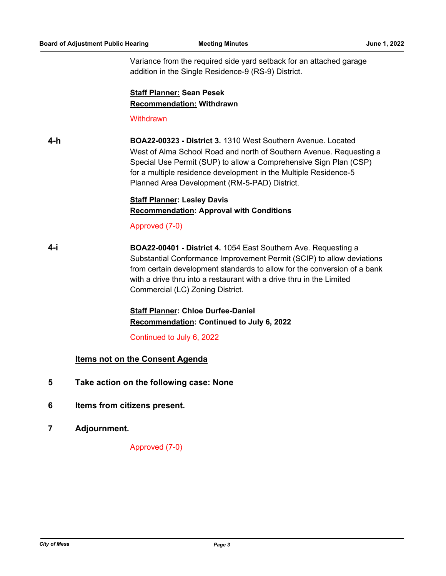Variance from the required side yard setback for an attached garage addition in the Single Residence-9 (RS-9) District.

# **Staff Planner: Sean Pesek Recommendation: Withdrawn**

**Withdrawn** 

**4-h BOA22-00323 - District 3.** 1310 West Southern Avenue. Located West of Alma School Road and north of Southern Avenue. Requesting a Special Use Permit (SUP) to allow a Comprehensive Sign Plan (CSP) for a multiple residence development in the Multiple Residence-5 Planned Area Development (RM-5-PAD) District.

## **Staff Planner: Lesley Davis Recommendation: Approval with Conditions**

#### Approved (7-0)

**4-i BOA22-00401 - District 4.** 1054 East Southern Ave. Requesting a Substantial Conformance Improvement Permit (SCIP) to allow deviations from certain development standards to allow for the conversion of a bank with a drive thru into a restaurant with a drive thru in the Limited Commercial (LC) Zoning District.

# **Staff Planner: Chloe Durfee-Daniel Recommendation: Continued to July 6, 2022**

Continued to July 6, 2022

# **Items not on the Consent Agenda**

- **5 Take action on the following case: None**
- **6 Items from citizens present.**
- **7 Adjournment.**

### Approved (7-0)